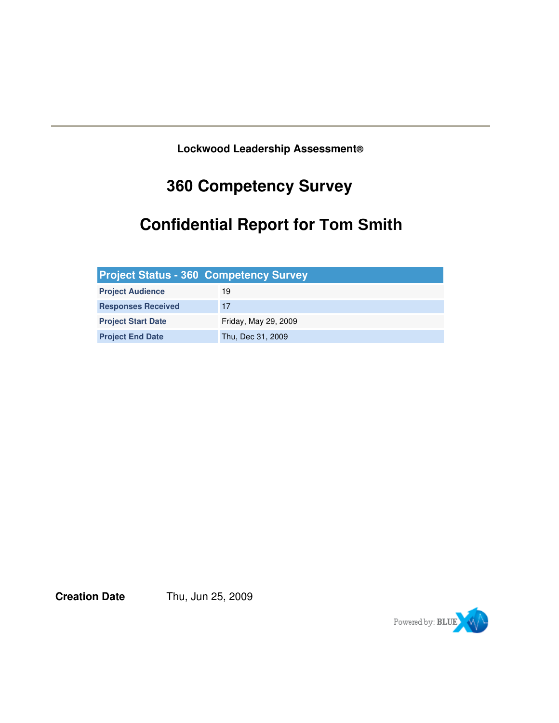**Lockwood Leadership Assessment®**

# **360 Competency Survey**

# **Confidential Report for Tom Smith**

| <b>Project Status - 360 Competency Survey</b> |                      |
|-----------------------------------------------|----------------------|
| <b>Project Audience</b>                       | 19                   |
| <b>Responses Received</b>                     | 17                   |
| <b>Project Start Date</b>                     | Friday, May 29, 2009 |
| <b>Project End Date</b>                       | Thu, Dec 31, 2009    |

**Creation Date** Thu, Jun 25, 2009

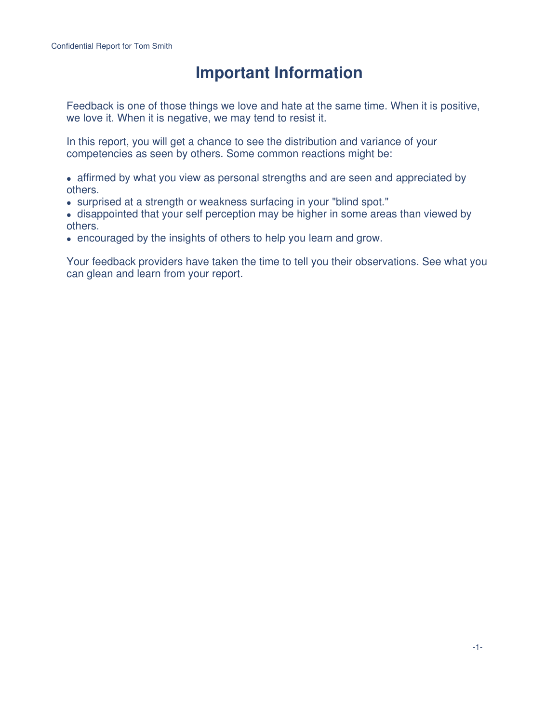## **Important Information**

Feedback is one of those things we love and hate at the same time. When it is positive, we love it. When it is negative, we may tend to resist it.

In this report, you will get a chance to see the distribution and variance of your competencies as seen by others. Some common reactions might be:

• affirmed by what you view as personal strengths and are seen and appreciated by others.

• surprised at a strength or weakness surfacing in your "blind spot."

 disappointed that your self perception may be higher in some areas than viewed by others.

encouraged by the insights of others to help you learn and grow.

Your feedback providers have taken the time to tell you their observations. See what you can glean and learn from your report.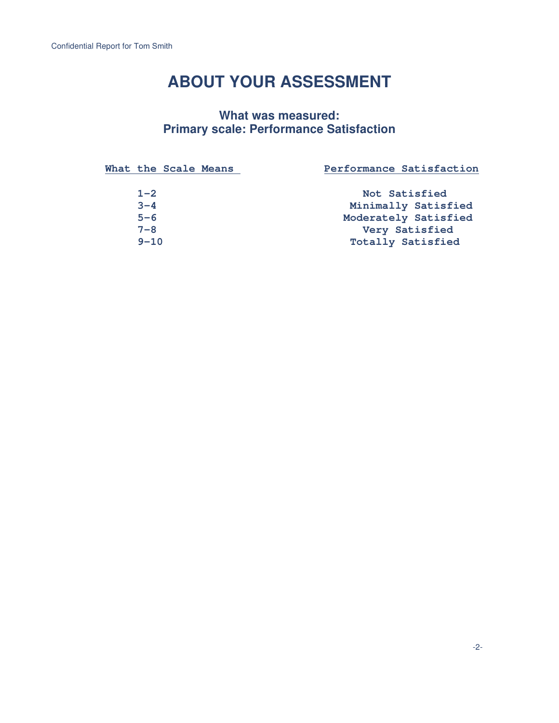## **ABOUT YOUR ASSESSMENT**

### **What was measured: Primary scale: Performance Satisfaction**

| What the Scale Means | Performance Satisfaction |
|----------------------|--------------------------|
| $1 - 2$              | Not Satisfied            |
| $3 - 4$              | Minimally Satisfied      |
| $5 - 6$              | Moderately Satisfied     |
| $7 - 8$              | Very Satisfied           |
| $9 - 10$             | <b>Totally Satisfied</b> |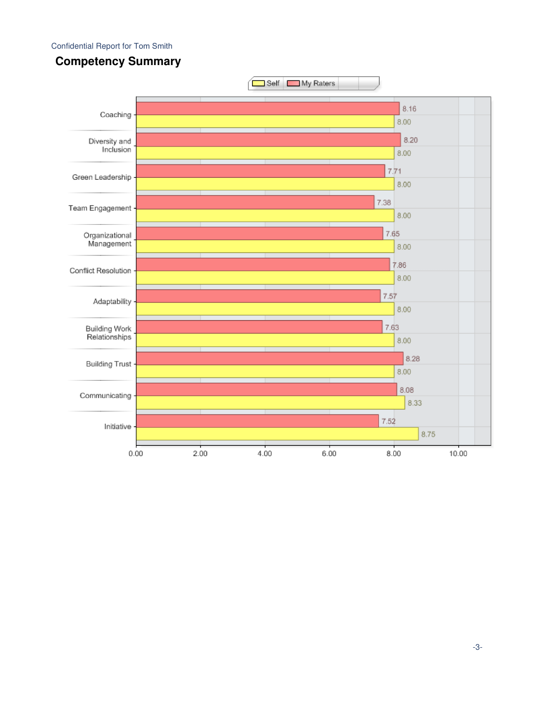#### Confidential Report for Tom Smith



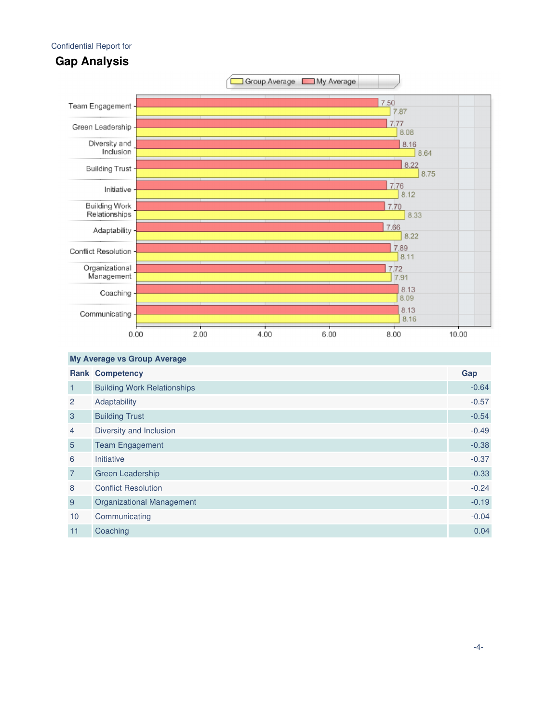#### Confidential Report for





| <b>My Average vs Group Average</b> |                                    |         |  |  |
|------------------------------------|------------------------------------|---------|--|--|
|                                    | <b>Rank Competency</b>             | Gap     |  |  |
| $\mathbf{1}$                       | <b>Building Work Relationships</b> | $-0.64$ |  |  |
| 2                                  | Adaptability                       | $-0.57$ |  |  |
| 3                                  | <b>Building Trust</b>              | $-0.54$ |  |  |
| $\overline{4}$                     | Diversity and Inclusion            | $-0.49$ |  |  |
| $5\overline{)}$                    | <b>Team Engagement</b>             | $-0.38$ |  |  |
| 6                                  | Initiative                         | $-0.37$ |  |  |
| $\overline{7}$                     | <b>Green Leadership</b>            | $-0.33$ |  |  |
| 8                                  | <b>Conflict Resolution</b>         | $-0.24$ |  |  |
| 9                                  | <b>Organizational Management</b>   | $-0.19$ |  |  |
| 10                                 | Communicating                      | $-0.04$ |  |  |
| 11                                 | Coaching                           | 0.04    |  |  |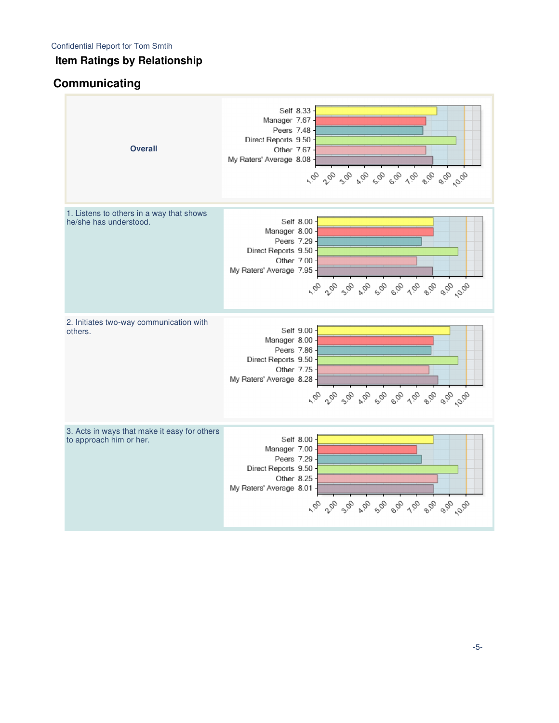### **Item Ratings by Relationship**

## **Communicating**

| <b>Overall</b>                                                          | Self 8.33<br>Manager 7.67<br>Peers 7.48<br>Direct Reports 9.50<br>Other 7.67<br>My Raters' Average 8.08                                                                                                          |
|-------------------------------------------------------------------------|------------------------------------------------------------------------------------------------------------------------------------------------------------------------------------------------------------------|
| 1. Listens to others in a way that shows<br>he/she has understood.      | Self 8.00<br>Manager 8.00<br>Peers 7.29<br>Direct Reports 9.50<br>Other 7.00<br>My Raters' Average 7.95<br>rà ra <sup>3</sup> a ra <sup>8</sup> a <sup>8</sup> a 1a <sup>8</sup> a <sup>9</sup> a <sup>0</sup> a |
| 2. Initiates two-way communication with<br>others.                      | Self 9.00<br>Manager 8.00<br>Peers 7.86<br>Direct Reports 9.50<br>Other 7.75<br>My Raters' Average 8.28                                                                                                          |
| 3. Acts in ways that make it easy for others<br>to approach him or her. | Self 8.00<br>Manager 7.00<br>Peers 7.29<br>Direct Reports 9.50<br>Other 8.25<br>My Raters' Average 8.01<br>10 10 30 10 30 90 10 90 90 90                                                                         |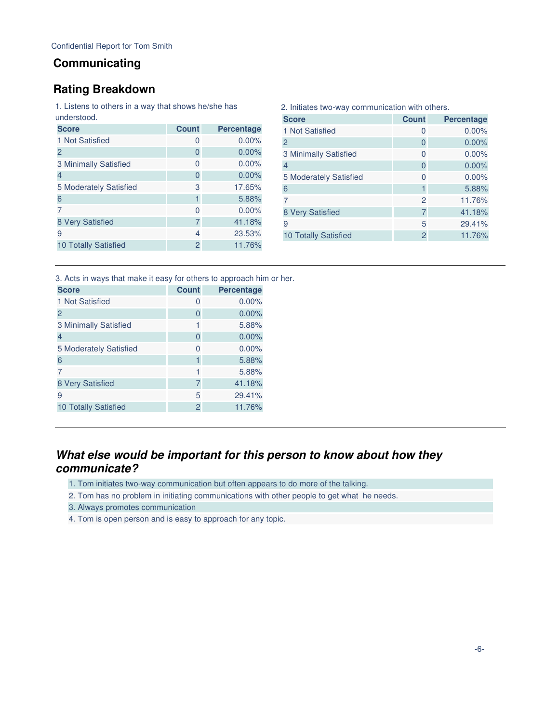#### **Communicating**

#### **Rating Breakdown**

1. Listens to others in a way that shows he/she has

| understood.                 |                |                   |
|-----------------------------|----------------|-------------------|
| <b>Score</b>                | <b>Count</b>   | <b>Percentage</b> |
| 1 Not Satisfied             | 0              | 0.00%             |
| 2                           | 0              | 0.00%             |
| 3 Minimally Satisfied       | 0              | $0.00\%$          |
| $\overline{4}$              | 0              | 0.00%             |
| 5 Moderately Satisfied      | 3              | 17.65%            |
| 6                           | 1              | 5.88%             |
|                             | $\Omega$       | 0.00%             |
| 8 Very Satisfied            | 7              | 41.18%            |
| 9                           | 4              | 23.53%            |
| <b>10 Totally Satisfied</b> | $\overline{2}$ | 11.76%            |
|                             |                |                   |

| <b>Count</b>   | <b>Percentage</b> |
|----------------|-------------------|
| 0              | 0.00%             |
| 0              | 0.00%             |
| 0              | $0.00\%$          |
| 0              | $0.00\%$          |
| 0              | $0.00\%$          |
|                | 5.88%             |
| $\mathcal{P}$  | 11.76%            |
| 7              | 41.18%            |
| 5              | 29.41%            |
| $\overline{2}$ | 11.76%            |
|                |                   |

2. Initiates two-way communication with others.

3. Acts in ways that make it easy for others to approach him or her.

| <b>Score</b>                | <b>Count</b> | <b>Percentage</b> |
|-----------------------------|--------------|-------------------|
| 1 Not Satisfied             | 0            | $0.00\%$          |
| 2                           | 0            | 0.00%             |
| 3 Minimally Satisfied       | 1            | 5.88%             |
| $\overline{4}$              | 0            | 0.00%             |
| 5 Moderately Satisfied      | 0            | $0.00\%$          |
| 6                           |              | 5.88%             |
|                             |              | 5.88%             |
| 8 Very Satisfied            | 7            | 41.18%            |
| 9                           | 5            | 29.41%            |
| <b>10 Totally Satisfied</b> | 2            | 11.76%            |
|                             |              |                   |

#### **What else would be important for this person to know about how they communicate?**

- 1. Tom initiates two-way communication but often appears to do more of the talking.
- 2. Tom has no problem in initiating communications with other people to get what he needs.
- 3. Always promotes communication
- 4. Tom is open person and is easy to approach for any topic.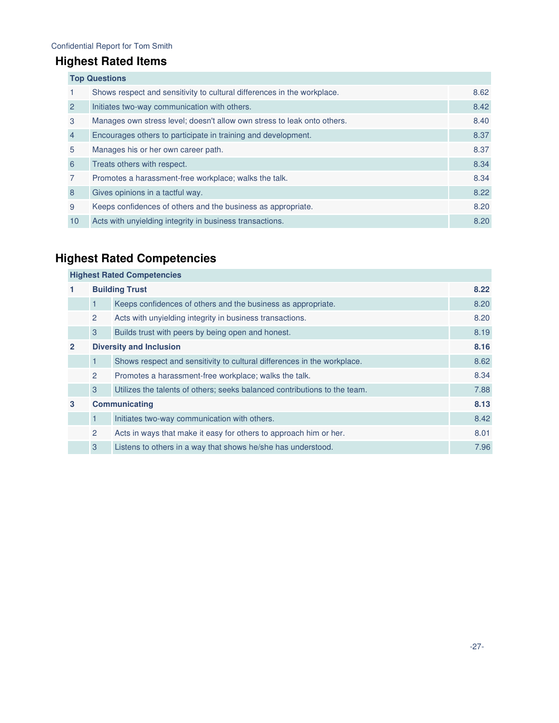#### Confidential Report for Tom Smith

### **Highest Rated Items**

| <b>Top Questions</b> |                                                                         |      |  |
|----------------------|-------------------------------------------------------------------------|------|--|
|                      | Shows respect and sensitivity to cultural differences in the workplace. | 8.62 |  |
| $\overline{2}$       | Initiates two-way communication with others.                            | 8.42 |  |
| 3                    | Manages own stress level; doesn't allow own stress to leak onto others. | 8.40 |  |
| $\overline{4}$       | Encourages others to participate in training and development.           | 8.37 |  |
| 5                    | Manages his or her own career path.                                     | 8.37 |  |
| 6                    | Treats others with respect.                                             | 8.34 |  |
| $\overline{7}$       | Promotes a harassment-free workplace; walks the talk.                   | 8.34 |  |
| 8                    | Gives opinions in a tactful way.                                        | 8.22 |  |
| 9                    | Keeps confidences of others and the business as appropriate.            | 8.20 |  |
| 10                   | Acts with unyielding integrity in business transactions.                | 8.20 |  |

## **Highest Rated Competencies**

| <b>Highest Rated Competencies</b> |                       |                                                                           |      |
|-----------------------------------|-----------------------|---------------------------------------------------------------------------|------|
|                                   | <b>Building Trust</b> |                                                                           |      |
|                                   | $\mathbf{1}$          | Keeps confidences of others and the business as appropriate.              | 8.20 |
|                                   | 2                     | Acts with unyielding integrity in business transactions.                  | 8.20 |
|                                   | 3                     | Builds trust with peers by being open and honest.                         | 8.19 |
| $\mathbf{2}$                      |                       | <b>Diversity and Inclusion</b>                                            | 8.16 |
|                                   | 1                     | Shows respect and sensitivity to cultural differences in the workplace.   | 8.62 |
|                                   | $\overline{2}$        | Promotes a harassment-free workplace; walks the talk.                     | 8.34 |
|                                   | 3                     | Utilizes the talents of others; seeks balanced contributions to the team. | 7.88 |
| 3                                 |                       | <b>Communicating</b>                                                      | 8.13 |
|                                   | 1                     | Initiates two-way communication with others.                              | 8.42 |
|                                   | 2                     | Acts in ways that make it easy for others to approach him or her.         | 8.01 |
|                                   | 3                     | Listens to others in a way that shows he/she has understood.              | 7.96 |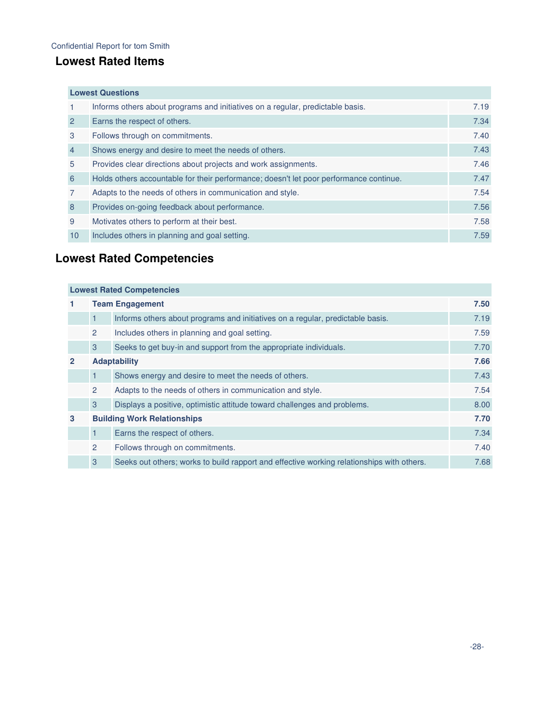### **Lowest Rated Items**

|                | <b>Lowest Questions</b>                                                                |      |  |  |  |
|----------------|----------------------------------------------------------------------------------------|------|--|--|--|
|                | Informs others about programs and initiatives on a regular, predictable basis.         | 7.19 |  |  |  |
| $\overline{2}$ | Earns the respect of others.                                                           | 7.34 |  |  |  |
| 3              | Follows through on commitments.                                                        | 7.40 |  |  |  |
| $\overline{4}$ | Shows energy and desire to meet the needs of others.                                   | 7.43 |  |  |  |
| 5              | Provides clear directions about projects and work assignments.                         | 7.46 |  |  |  |
| 6              | Holds others accountable for their performance; doesn't let poor performance continue. | 7.47 |  |  |  |
| $\overline{7}$ | Adapts to the needs of others in communication and style.                              | 7.54 |  |  |  |
| 8              | Provides on-going feedback about performance.                                          | 7.56 |  |  |  |
| 9              | Motivates others to perform at their best.                                             | 7.58 |  |  |  |
| 10             | Includes others in planning and goal setting.                                          | 7.59 |  |  |  |

## **Lowest Rated Competencies**

| <b>Lowest Rated Competencies</b> |                        |                                                                                           |      |
|----------------------------------|------------------------|-------------------------------------------------------------------------------------------|------|
| 1.                               | <b>Team Engagement</b> |                                                                                           |      |
|                                  | 1.                     | Informs others about programs and initiatives on a regular, predictable basis.            | 7.19 |
|                                  | $\mathbf{2}^{\circ}$   | Includes others in planning and goal setting.                                             | 7.59 |
|                                  | 3                      | Seeks to get buy-in and support from the appropriate individuals.                         | 7.70 |
| $\overline{2}$                   |                        | <b>Adaptability</b>                                                                       | 7.66 |
|                                  | 1                      | Shows energy and desire to meet the needs of others.                                      | 7.43 |
|                                  | $\overline{2}$         | Adapts to the needs of others in communication and style.                                 | 7.54 |
|                                  | 3                      | Displays a positive, optimistic attitude toward challenges and problems.                  | 8.00 |
| 3                                |                        | <b>Building Work Relationships</b>                                                        | 7.70 |
|                                  | 1                      | Earns the respect of others.                                                              | 7.34 |
|                                  | $\overline{2}$         | Follows through on commitments.                                                           | 7.40 |
|                                  | 3                      | Seeks out others; works to build rapport and effective working relationships with others. | 7.68 |